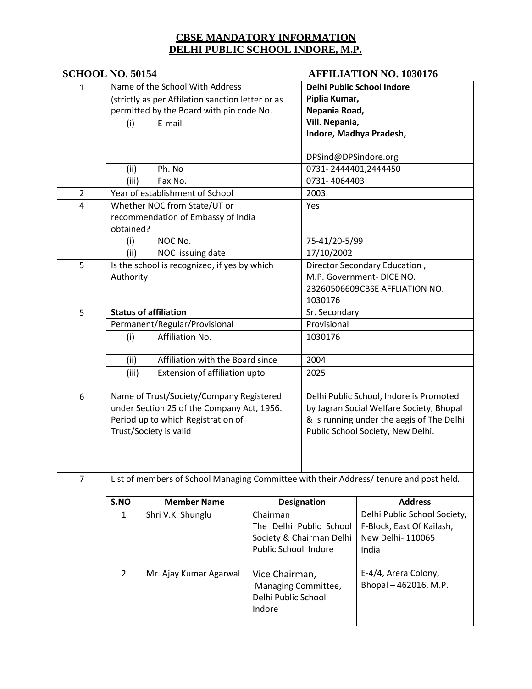# **SCHOOL NO. 50154 AFFILIATION NO. 1030176**

| $\mathbf{1}$   | Name of the School With Address                                                        |                                              |                      | Delhi Public School Indore        |                                           |  |  |
|----------------|----------------------------------------------------------------------------------------|----------------------------------------------|----------------------|-----------------------------------|-------------------------------------------|--|--|
|                | (strictly as per Affilation sanction letter or as                                      |                                              |                      | Piplia Kumar,                     |                                           |  |  |
|                | permitted by the Board with pin code No.                                               |                                              |                      | Nepania Road,                     |                                           |  |  |
|                | E-mail<br>(i)                                                                          |                                              |                      | Vill. Nepania,                    |                                           |  |  |
|                |                                                                                        |                                              |                      |                                   | Indore, Madhya Pradesh,                   |  |  |
|                |                                                                                        |                                              |                      |                                   |                                           |  |  |
|                |                                                                                        |                                              |                      | DPSind@DPSindore.org              |                                           |  |  |
|                | Ph. No<br>(ii)                                                                         |                                              |                      | 0731-2444401,2444450              |                                           |  |  |
|                | (iii)                                                                                  | Fax No.                                      |                      | 0731-4064403                      |                                           |  |  |
| $\overline{2}$ |                                                                                        | Year of establishment of School              |                      | 2003                              |                                           |  |  |
| 4              |                                                                                        | Whether NOC from State/UT or                 |                      | Yes                               |                                           |  |  |
|                |                                                                                        | recommendation of Embassy of India           |                      |                                   |                                           |  |  |
|                | obtained?                                                                              |                                              |                      |                                   |                                           |  |  |
|                | (i)                                                                                    | NOC No.                                      |                      | 75-41/20-5/99                     |                                           |  |  |
|                | (ii)                                                                                   | NOC issuing date                             |                      | 17/10/2002                        |                                           |  |  |
| 5              |                                                                                        | Is the school is recognized, if yes by which |                      |                                   | Director Secondary Education,             |  |  |
|                | Authority                                                                              |                                              |                      |                                   | M.P. Government-DICE NO.                  |  |  |
|                |                                                                                        |                                              |                      |                                   | 23260506609CBSE AFFLIATION NO.            |  |  |
|                |                                                                                        |                                              |                      | 1030176                           |                                           |  |  |
| 5              |                                                                                        | <b>Status of affiliation</b>                 |                      | Sr. Secondary                     |                                           |  |  |
|                | Permanent/Regular/Provisional                                                          |                                              |                      | Provisional                       |                                           |  |  |
|                | Affiliation No.<br>(i)                                                                 |                                              |                      | 1030176                           |                                           |  |  |
|                |                                                                                        |                                              |                      |                                   |                                           |  |  |
|                | Affiliation with the Board since<br>(ii)                                               |                                              |                      | 2004                              |                                           |  |  |
|                | (iii)<br>Extension of affiliation upto                                                 |                                              | 2025                 |                                   |                                           |  |  |
|                |                                                                                        |                                              |                      |                                   |                                           |  |  |
| 6              |                                                                                        | Name of Trust/Society/Company Registered     |                      |                                   | Delhi Public School, Indore is Promoted   |  |  |
|                | under Section 25 of the Company Act, 1956.                                             |                                              |                      |                                   | by Jagran Social Welfare Society, Bhopal  |  |  |
|                |                                                                                        | Period up to which Registration of           |                      |                                   | & is running under the aegis of The Delhi |  |  |
|                |                                                                                        | Trust/Society is valid                       |                      | Public School Society, New Delhi. |                                           |  |  |
|                |                                                                                        |                                              |                      |                                   |                                           |  |  |
|                |                                                                                        |                                              |                      |                                   |                                           |  |  |
|                |                                                                                        |                                              |                      |                                   |                                           |  |  |
| $\overline{7}$ | List of members of School Managing Committee with their Address/ tenure and post held. |                                              |                      |                                   |                                           |  |  |
|                |                                                                                        |                                              |                      |                                   |                                           |  |  |
|                | S.NO                                                                                   | <b>Member Name</b>                           |                      | <b>Designation</b>                | <b>Address</b>                            |  |  |
|                | 1                                                                                      | Shri V.K. Shunglu                            | Chairman             |                                   | Delhi Public School Society,              |  |  |
|                |                                                                                        |                                              |                      | The Delhi Public School           | F-Block, East Of Kailash,                 |  |  |
|                |                                                                                        |                                              |                      | Society & Chairman Delhi          | New Delhi- 110065                         |  |  |
|                |                                                                                        |                                              | Public School Indore |                                   | India                                     |  |  |
|                |                                                                                        |                                              |                      |                                   |                                           |  |  |
|                | $\overline{2}$<br>Mr. Ajay Kumar Agarwal                                               |                                              | Vice Chairman,       |                                   | E-4/4, Arera Colony,                      |  |  |
|                |                                                                                        |                                              | Managing Committee,  |                                   | Bhopal - 462016, M.P.                     |  |  |
|                | Delhi Public School<br>Indore                                                          |                                              |                      |                                   |                                           |  |  |
|                |                                                                                        |                                              |                      |                                   |                                           |  |  |
|                |                                                                                        |                                              |                      |                                   |                                           |  |  |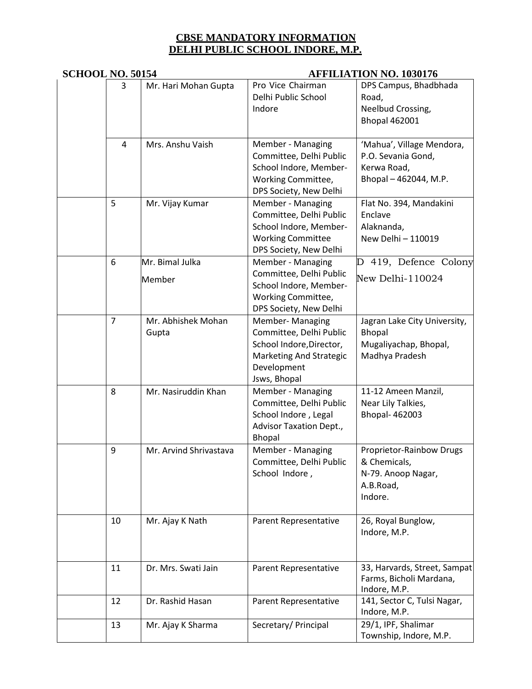# **SCHOOL NO. 50154 AFFILIATION NO. 1030176**

| 3  | Mr. Hari Mohan Gupta        | Pro Vice Chairman<br>Delhi Public School<br>Indore                                                                                | DPS Campus, Bhadbhada<br>Road,<br>Neelbud Crossing,<br><b>Bhopal 462001</b>             |  |  |
|----|-----------------------------|-----------------------------------------------------------------------------------------------------------------------------------|-----------------------------------------------------------------------------------------|--|--|
| 4  | Mrs. Anshu Vaish            | Member - Managing<br>Committee, Delhi Public<br>School Indore, Member-<br>Working Committee,<br>DPS Society, New Delhi            | 'Mahua', Village Mendora,<br>P.O. Sevania Gond,<br>Kerwa Road,<br>Bhopal - 462044, M.P. |  |  |
| 5  | Mr. Vijay Kumar             | Member - Managing<br>Committee, Delhi Public<br>School Indore, Member-<br><b>Working Committee</b><br>DPS Society, New Delhi      | Flat No. 394, Mandakini<br>Enclave<br>Alaknanda,<br>New Delhi - 110019                  |  |  |
| 6  | Mr. Bimal Julka<br>Member   | Member - Managing<br>Committee, Delhi Public<br>School Indore, Member-<br>Working Committee,<br>DPS Society, New Delhi            | 419, Defence Colony<br>D<br>New Delhi-110024                                            |  |  |
| 7  | Mr. Abhishek Mohan<br>Gupta | Member- Managing<br>Committee, Delhi Public<br>School Indore, Director,<br>Marketing And Strategic<br>Development<br>Jsws, Bhopal | Jagran Lake City University,<br>Bhopal<br>Mugaliyachap, Bhopal,<br>Madhya Pradesh       |  |  |
| 8  | Mr. Nasiruddin Khan         | Member - Managing<br>Committee, Delhi Public<br>School Indore, Legal<br><b>Advisor Taxation Dept.,</b><br><b>Bhopal</b>           | 11-12 Ameen Manzil,<br>Near Lily Talkies,<br>Bhopal- 462003                             |  |  |
| 9  | Mr. Arvind Shrivastava      | Member - Managing<br>Committee, Delhi Public<br>School Indore,                                                                    | Proprietor-Rainbow Drugs<br>& Chemicals,<br>N-79. Anoop Nagar,<br>A.B.Road,<br>Indore.  |  |  |
| 10 | Mr. Ajay K Nath             | Parent Representative                                                                                                             | 26, Royal Bunglow,<br>Indore, M.P.                                                      |  |  |
| 11 | Dr. Mrs. Swati Jain         | Parent Representative                                                                                                             | 33, Harvards, Street, Sampat<br>Farms, Bicholi Mardana,<br>Indore, M.P.                 |  |  |
| 12 | Dr. Rashid Hasan            | Parent Representative                                                                                                             | 141, Sector C, Tulsi Nagar,<br>Indore, M.P.                                             |  |  |
| 13 | Mr. Ajay K Sharma           | Secretary/ Principal                                                                                                              | 29/1, IPF, Shalimar<br>Township, Indore, M.P.                                           |  |  |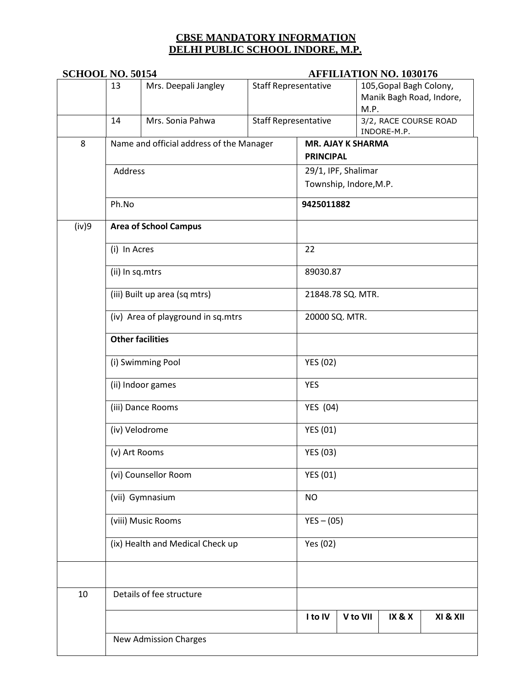|       | <b>SCHOOL NO. 50154</b>                                                            |                                          |                 | <b>AFFILIATION NO. 1030176</b>                             |                |                                                             |          |  |  |
|-------|------------------------------------------------------------------------------------|------------------------------------------|-----------------|------------------------------------------------------------|----------------|-------------------------------------------------------------|----------|--|--|
|       | 13                                                                                 | Mrs. Deepali Jangley                     |                 | <b>Staff Representative</b><br><b>Staff Representative</b> |                | 105, Gopal Bagh Colony,<br>Manik Bagh Road, Indore,<br>M.P. |          |  |  |
|       | 14                                                                                 | Mrs. Sonia Pahwa                         |                 |                                                            |                | 3/2, RACE COURSE ROAD<br>INDORE-M.P.                        |          |  |  |
| 8     |                                                                                    | Name and official address of the Manager |                 | <b>MR. AJAY K SHARMA</b>                                   |                |                                                             |          |  |  |
|       |                                                                                    |                                          |                 | <b>PRINCIPAL</b>                                           |                |                                                             |          |  |  |
|       | Address                                                                            |                                          |                 | 29/1, IPF, Shalimar                                        |                |                                                             |          |  |  |
|       |                                                                                    |                                          |                 | Township, Indore, M.P.                                     |                |                                                             |          |  |  |
|       | Ph.No                                                                              |                                          |                 | 9425011882                                                 |                |                                                             |          |  |  |
| (iv)9 | <b>Area of School Campus</b>                                                       |                                          |                 |                                                            |                |                                                             |          |  |  |
|       | (i) In Acres                                                                       |                                          |                 | 22                                                         |                |                                                             |          |  |  |
|       | (ii) In sq.mtrs                                                                    |                                          |                 | 89030.87                                                   |                |                                                             |          |  |  |
|       | (iii) Built up area (sq mtrs)                                                      |                                          |                 | 21848.78 SQ. MTR.                                          |                |                                                             |          |  |  |
|       |                                                                                    | (iv) Area of playground in sq.mtrs       |                 |                                                            | 20000 SQ. MTR. |                                                             |          |  |  |
|       | <b>Other facilities</b>                                                            |                                          |                 |                                                            |                |                                                             |          |  |  |
|       | (i) Swimming Pool                                                                  |                                          | <b>YES (02)</b> |                                                            |                |                                                             |          |  |  |
|       | (ii) Indoor games                                                                  |                                          |                 | <b>YES</b>                                                 |                |                                                             |          |  |  |
|       |                                                                                    | (iii) Dance Rooms                        |                 |                                                            | YES (04)       |                                                             |          |  |  |
|       |                                                                                    | (iv) Velodrome                           | <b>YES (01)</b> |                                                            |                |                                                             |          |  |  |
|       | (v) Art Rooms                                                                      |                                          |                 | <b>YES (03)</b><br><b>YES (01)</b>                         |                |                                                             |          |  |  |
|       |                                                                                    | (vi) Counsellor Room                     |                 |                                                            |                |                                                             |          |  |  |
|       |                                                                                    | (vii) Gymnasium<br><b>NO</b>             |                 |                                                            |                |                                                             |          |  |  |
|       | (viii) Music Rooms<br>$YES - (05)$<br>(ix) Health and Medical Check up<br>Yes (02) |                                          |                 |                                                            |                |                                                             |          |  |  |
|       |                                                                                    |                                          |                 |                                                            |                |                                                             |          |  |  |
|       |                                                                                    |                                          |                 |                                                            |                |                                                             |          |  |  |
| 10    |                                                                                    | Details of fee structure                 |                 |                                                            |                |                                                             |          |  |  |
|       |                                                                                    |                                          |                 | I to IV                                                    | V to VII       | IX&X                                                        | XI & XII |  |  |
|       |                                                                                    | <b>New Admission Charges</b>             |                 |                                                            |                |                                                             |          |  |  |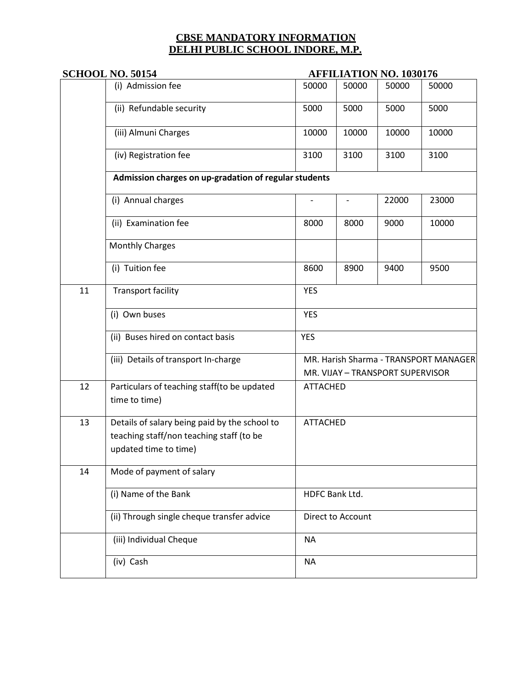|    | <b>SCHOOL NO. 50154</b>                                                                                            | <b>AFFILIATION NO. 1030176</b>                                            |       |       |       |  |  |
|----|--------------------------------------------------------------------------------------------------------------------|---------------------------------------------------------------------------|-------|-------|-------|--|--|
|    | (i) Admission fee                                                                                                  | 50000                                                                     | 50000 | 50000 | 50000 |  |  |
|    | (ii) Refundable security                                                                                           | 5000                                                                      | 5000  | 5000  | 5000  |  |  |
|    | (iii) Almuni Charges                                                                                               | 10000                                                                     | 10000 | 10000 | 10000 |  |  |
|    | (iv) Registration fee                                                                                              | 3100                                                                      | 3100  | 3100  | 3100  |  |  |
|    | Admission charges on up-gradation of regular students                                                              |                                                                           |       |       |       |  |  |
|    | (i) Annual charges                                                                                                 |                                                                           |       | 22000 | 23000 |  |  |
|    | (ii) Examination fee                                                                                               | 8000                                                                      | 8000  | 9000  | 10000 |  |  |
|    | <b>Monthly Charges</b>                                                                                             |                                                                           |       |       |       |  |  |
|    | (i) Tuition fee                                                                                                    | 8600                                                                      | 8900  | 9400  | 9500  |  |  |
| 11 | <b>Transport facility</b>                                                                                          | <b>YES</b>                                                                |       |       |       |  |  |
|    | (i) Own buses                                                                                                      | <b>YES</b>                                                                |       |       |       |  |  |
|    | (ii) Buses hired on contact basis                                                                                  | <b>YES</b>                                                                |       |       |       |  |  |
|    | (iii) Details of transport In-charge                                                                               | MR. Harish Sharma - TRANSPORT MANAGER<br>MR. VIJAY - TRANSPORT SUPERVISOR |       |       |       |  |  |
| 12 | Particulars of teaching staff(to be updated<br>time to time)                                                       | <b>ATTACHED</b>                                                           |       |       |       |  |  |
| 13 | Details of salary being paid by the school to<br>teaching staff/non teaching staff (to be<br>updated time to time) | <b>ATTACHED</b>                                                           |       |       |       |  |  |
| 14 | Mode of payment of salary                                                                                          |                                                                           |       |       |       |  |  |
|    | (i) Name of the Bank                                                                                               | HDFC Bank Ltd.                                                            |       |       |       |  |  |
|    | (ii) Through single cheque transfer advice                                                                         | Direct to Account                                                         |       |       |       |  |  |
|    | (iii) Individual Cheque                                                                                            | <b>NA</b>                                                                 |       |       |       |  |  |
|    | (iv) Cash                                                                                                          | <b>NA</b>                                                                 |       |       |       |  |  |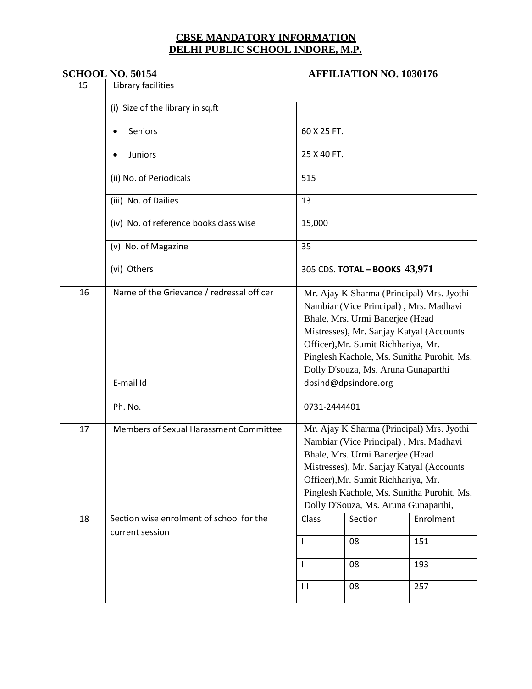#### **SCHOOL NO. 50154 AFFILIATION NO. 1030176**

| 15 | Library facilities                                          |                                                                                                                                                                                                                                                                                                 |         |           |  |  |
|----|-------------------------------------------------------------|-------------------------------------------------------------------------------------------------------------------------------------------------------------------------------------------------------------------------------------------------------------------------------------------------|---------|-----------|--|--|
|    | (i) Size of the library in sq.ft                            |                                                                                                                                                                                                                                                                                                 |         |           |  |  |
|    | 60 X 25 FT.<br>Seniors                                      |                                                                                                                                                                                                                                                                                                 |         |           |  |  |
|    | Juniors                                                     | 25 X 40 FT.                                                                                                                                                                                                                                                                                     |         |           |  |  |
|    | (ii) No. of Periodicals                                     | 515                                                                                                                                                                                                                                                                                             |         |           |  |  |
|    | (iii) No. of Dailies                                        | 13                                                                                                                                                                                                                                                                                              |         |           |  |  |
|    | (iv) No. of reference books class wise                      | 15,000                                                                                                                                                                                                                                                                                          |         |           |  |  |
|    | (v) No. of Magazine                                         | 35                                                                                                                                                                                                                                                                                              |         |           |  |  |
|    | (vi) Others                                                 | 305 CDS. TOTAL - BOOKS 43,971                                                                                                                                                                                                                                                                   |         |           |  |  |
| 16 | Name of the Grievance / redressal officer                   | Mr. Ajay K Sharma (Principal) Mrs. Jyothi<br>Nambiar (Vice Principal), Mrs. Madhavi<br>Bhale, Mrs. Urmi Banerjee (Head<br>Mistresses), Mr. Sanjay Katyal (Accounts<br>Officer), Mr. Sumit Richhariya, Mr.<br>Pinglesh Kachole, Ms. Sunitha Purohit, Ms.<br>Dolly D'souza, Ms. Aruna Gunaparthi  |         |           |  |  |
|    | E-mail Id                                                   | dpsind@dpsindore.org                                                                                                                                                                                                                                                                            |         |           |  |  |
|    | Ph. No.                                                     | 0731-2444401                                                                                                                                                                                                                                                                                    |         |           |  |  |
| 17 | Members of Sexual Harassment Committee                      | Mr. Ajay K Sharma (Principal) Mrs. Jyothi<br>Nambiar (Vice Principal), Mrs. Madhavi<br>Bhale, Mrs. Urmi Banerjee (Head<br>Mistresses), Mr. Sanjay Katyal (Accounts<br>Officer), Mr. Sumit Richhariya, Mr.<br>Pinglesh Kachole, Ms. Sunitha Purohit, Ms.<br>Dolly D'Souza, Ms. Aruna Gunaparthi, |         |           |  |  |
| 18 | Section wise enrolment of school for the<br>current session | Class                                                                                                                                                                                                                                                                                           | Section | Enrolment |  |  |
|    |                                                             | T                                                                                                                                                                                                                                                                                               | 08      | 151       |  |  |
|    |                                                             | $\sf II$                                                                                                                                                                                                                                                                                        | 08      | 193       |  |  |
|    |                                                             | $\mathbf{III}$                                                                                                                                                                                                                                                                                  | 08      | 257       |  |  |